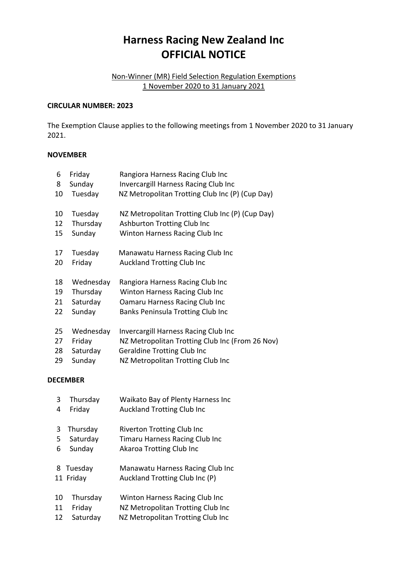# **Harness Racing New Zealand Inc OFFICIAL NOTICE**

## Non-Winner (MR) Field Selection Regulation Exemptions 1 November 2020 to 31 January 2021

#### **CIRCULAR NUMBER: 2023**

The Exemption Clause applies to the following meetings from 1 November 2020 to 31 January 2021.

### **NOVEMBER**

| 6               | Friday    | Rangiora Harness Racing Club Inc                |  |  |  |
|-----------------|-----------|-------------------------------------------------|--|--|--|
| 8               | Sunday    | Invercargill Harness Racing Club Inc            |  |  |  |
| 10              | Tuesday   | NZ Metropolitan Trotting Club Inc (P) (Cup Day) |  |  |  |
| 10              | Tuesday   | NZ Metropolitan Trotting Club Inc (P) (Cup Day) |  |  |  |
| 12              | Thursday  | Ashburton Trotting Club Inc                     |  |  |  |
| 15              | Sunday    | Winton Harness Racing Club Inc                  |  |  |  |
| 17              | Tuesday   | Manawatu Harness Racing Club Inc                |  |  |  |
| 20              | Friday    | <b>Auckland Trotting Club Inc</b>               |  |  |  |
| 18              | Wednesday | Rangiora Harness Racing Club Inc                |  |  |  |
| 19              | Thursday  | Winton Harness Racing Club Inc                  |  |  |  |
| 21              | Saturday  | Oamaru Harness Racing Club Inc                  |  |  |  |
| 22              | Sunday    | Banks Peninsula Trotting Club Inc               |  |  |  |
| 25              | Wednesday | <b>Invercargill Harness Racing Club Inc</b>     |  |  |  |
| 27              | Friday    | NZ Metropolitan Trotting Club Inc (From 26 Nov) |  |  |  |
| 28              | Saturday  | <b>Geraldine Trotting Club Inc</b>              |  |  |  |
| 29              | Sunday    | NZ Metropolitan Trotting Club Inc               |  |  |  |
| <b>DECEMBER</b> |           |                                                 |  |  |  |
| 3               | Thursday  | Waikato Bay of Plenty Harness Inc               |  |  |  |
| 4               | Friday    | <b>Auckland Trotting Club Inc</b>               |  |  |  |
|                 |           |                                                 |  |  |  |

- 3 Thursday Riverton Trotting Club Inc
- 5 Saturday Timaru Harness Racing Club Inc
- 6 Sunday Akaroa Trotting Club Inc
- 8 Tuesday Manawatu Harness Racing Club Inc 11 Friday Auckland Trotting Club Inc (P)
- 10 Thursday Winton Harness Racing Club Inc 11 Friday NZ Metropolitan Trotting Club Inc
- 12 Saturday NZ Metropolitan Trotting Club Inc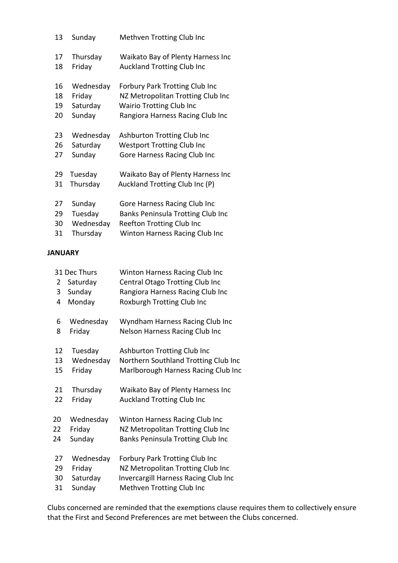| 13 | Sunday    | Methven Trotting Club Inc                |
|----|-----------|------------------------------------------|
| 17 | Thursday  | Waikato Bay of Plenty Harness Inc        |
| 18 | Friday    | <b>Auckland Trotting Club Inc</b>        |
| 16 | Wednesday | <b>Forbury Park Trotting Club Inc</b>    |
| 18 | Friday    | NZ Metropolitan Trotting Club Inc        |
| 19 | Saturday  | <b>Wairio Trotting Club Inc</b>          |
| 20 | Sunday    | Rangiora Harness Racing Club Inc         |
| 23 | Wednesday | Ashburton Trotting Club Inc              |
| 26 | Saturday  | <b>Westport Trotting Club Inc</b>        |
| 27 | Sunday    | Gore Harness Racing Club Inc             |
| 29 | Tuesday   | Waikato Bay of Plenty Harness Inc        |
| 31 | Thursday  | Auckland Trotting Club Inc (P)           |
| 27 | Sunday    | Gore Harness Racing Club Inc             |
| 29 | Tuesday   | <b>Banks Peninsula Trotting Club Inc</b> |
| 30 | Wednesday | Reefton Trotting Club Inc                |
| 31 | Thursday  | <b>Winton Harness Racing Club Inc</b>    |

## **JANUARY**

| 31 Dec Thurs |    |           | Winton Harness Racing Club Inc              |
|--------------|----|-----------|---------------------------------------------|
|              | 2  | Saturday  | Central Otago Trotting Club Inc             |
|              | 3  | Sunday    | Rangiora Harness Racing Club Inc            |
|              | 4  | Monday    | Roxburgh Trotting Club Inc                  |
|              |    |           |                                             |
|              | 6  | Wednesday | Wyndham Harness Racing Club Inc             |
|              | 8  | Friday    | Nelson Harness Racing Club Inc              |
|              |    |           |                                             |
|              | 12 | Tuesday   | Ashburton Trotting Club Inc                 |
|              | 13 | Wednesday | Northern Southland Trotting Club Inc        |
|              | 15 | Friday    | Marlborough Harness Racing Club Inc         |
|              |    |           |                                             |
|              | 21 | Thursday  | Waikato Bay of Plenty Harness Inc           |
|              | 22 | Friday    | <b>Auckland Trotting Club Inc</b>           |
|              |    |           |                                             |
|              | 20 | Wednesday | Winton Harness Racing Club Inc              |
|              | 22 | Friday    | NZ Metropolitan Trotting Club Inc           |
|              | 24 | Sunday    | Banks Peninsula Trotting Club Inc           |
|              |    |           |                                             |
|              | 27 | Wednesday | <b>Forbury Park Trotting Club Inc</b>       |
|              | 29 | Friday    | NZ Metropolitan Trotting Club Inc           |
|              | 30 | Saturday  | <b>Invercargill Harness Racing Club Inc</b> |
|              | 31 | Sunday    | Methven Trotting Club Inc                   |
|              |    |           |                                             |

Clubs concerned are reminded that the exemptions clause requires them to collectively ensure that the First and Second Preferences are met between the Clubs concerned.